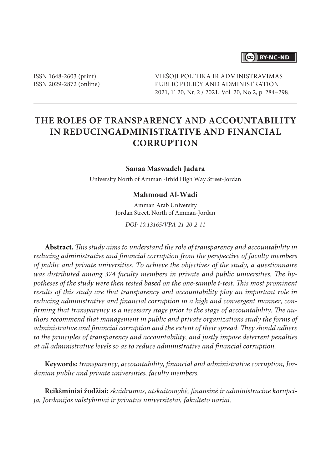## 

ISSN 1648-2603 (print) ISSN 2029-2872 (online) VIEŠOJI POLITIKA IR ADMINISTRAVIMAS PUBLIC POLICY AND ADMINISTRATION 2021, T. 20, Nr. 2 / 2021, Vol. 20, No 2, p. 284–298.

# **THE ROLES OF TRANSPARENCY AND ACCOUNTABILITY IN REDUCINGADMINISTRATIVE AND FINANCIAL CORRUPTION**

#### **Sanaa Maswadeh Jadara**

University North of Amman -Irbid High Way Street-Jordan

### **Mahmoud Al-Wadi**

Amman Arab University Jordan Street, North of Amman-Jordan

*DOI: 10.13165/VPA-21-20-2-11*

**Abstract.** *This study aims to understand the role of transparency and accountability in reducing administrative and financial corruption from the perspective of faculty members of public and private universities. To achieve the objectives of the study, a questionnaire was distributed among 374 faculty members in private and public universities. The hypotheses of the study were then tested based on the one-sample t-test. This most prominent results of this study are that transparency and accountability play an important role in reducing administrative and financial corruption in a high and convergent manner, confirming that transparency is a necessary stage prior to the stage of accountability. The authors recommend that management in public and private organizations study the forms of administrative and financial corruption and the extent of their spread. They should adhere to the principles of transparency and accountability, and justly impose deterrent penalties at all administrative levels so as to reduce administrative and financial corruption.*

**Keywords:** *transparency, accountability, financial and administrative corruption, Jordanian public and private universities, faculty members.*

**Reikšminiai žodžiai:** *skaidrumas, atskaitomybė, finansinė ir administracinė korupcija, Jordanijos valstybiniai ir privatūs universitetai, fakulteto nariai.*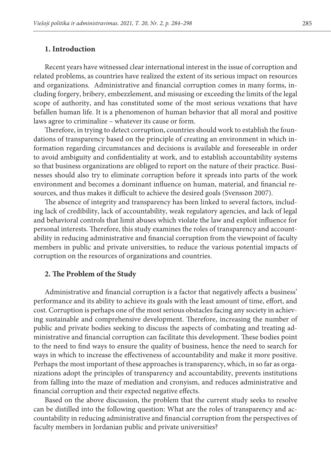### **1. Introduction**

Recent years have witnessed clear international interest in the issue of corruption and related problems, as countries have realized the extent of its serious impact on resources and organizations. Administrative and financial corruption comes in many forms, including forgery, bribery, embezzlement, and misusing or exceeding the limits of the legal scope of authority, and has constituted some of the most serious vexations that have befallen human life. It is a phenomenon of human behavior that all moral and positive laws agree to criminalize – whatever its cause or form.

Therefore, in trying to detect corruption, countries should work to establish the foundations of transparency based on the principle of creating an environment in which information regarding circumstances and decisions is available and foreseeable in order to avoid ambiguity and confidentiality at work, and to establish accountability systems so that business organizations are obliged to report on the nature of their practice. Businesses should also try to eliminate corruption before it spreads into parts of the work environment and becomes a dominant influence on human, material, and financial resources, and thus makes it difficult to achieve the desired goals (Svensson 2007).

The absence of integrity and transparency has been linked to several factors, including lack of credibility, lack of accountability, weak regulatory agencies, and lack of legal and behavioral controls that limit abuses which violate the law and exploit influence for personal interests. Therefore, this study examines the roles of transparency and accountability in reducing administrative and financial corruption from the viewpoint of faculty members in public and private universities, to reduce the various potential impacts of corruption on the resources of organizations and countries.

### **2. The Problem of the Study**

Administrative and financial corruption is a factor that negatively affects a business' performance and its ability to achieve its goals with the least amount of time, effort, and cost. Corruption is perhaps one of the most serious obstacles facing any society in achieving sustainable and comprehensive development. Therefore, increasing the number of public and private bodies seeking to discuss the aspects of combating and treating administrative and financial corruption can facilitate this development. These bodies point to the need to find ways to ensure the quality of business, hence the need to search for ways in which to increase the effectiveness of accountability and make it more positive. Perhaps the most important of these approaches is transparency, which, in so far as organizations adopt the principles of transparency and accountability, prevents institutions from falling into the maze of mediation and cronyism, and reduces administrative and financial corruption and their expected negative effects.

Based on the above discussion, the problem that the current study seeks to resolve can be distilled into the following question: What are the roles of transparency and accountability in reducing administrative and financial corruption from the perspectives of faculty members in Jordanian public and private universities?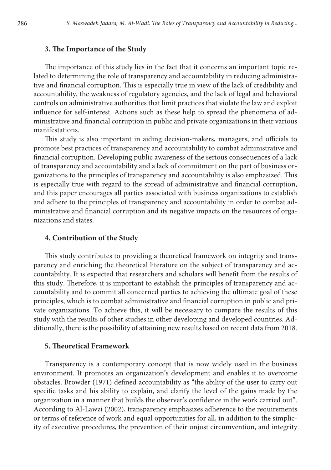### **3. The Importance of the Study**

The importance of this study lies in the fact that it concerns an important topic related to determining the role of transparency and accountability in reducing administrative and financial corruption. This is especially true in view of the lack of credibility and accountability, the weakness of regulatory agencies, and the lack of legal and behavioral controls on administrative authorities that limit practices that violate the law and exploit influence for self-interest. Actions such as these help to spread the phenomena of administrative and financial corruption in public and private organizations in their various manifestations.

This study is also important in aiding decision-makers, managers, and officials to promote best practices of transparency and accountability to combat administrative and financial corruption. Developing public awareness of the serious consequences of a lack of transparency and accountability and a lack of commitment on the part of business organizations to the principles of transparency and accountability is also emphasized. This is especially true with regard to the spread of administrative and financial corruption, and this paper encourages all parties associated with business organizations to establish and adhere to the principles of transparency and accountability in order to combat administrative and financial corruption and its negative impacts on the resources of organizations and states.

## **4. Contribution of the Study**

This study contributes to providing a theoretical framework on integrity and transparency and enriching the theoretical literature on the subject of transparency and accountability. It is expected that researchers and scholars will benefit from the results of this study. Therefore, it is important to establish the principles of transparency and accountability and to commit all concerned parties to achieving the ultimate goal of these principles, which is to combat administrative and financial corruption in public and private organizations. To achieve this, it will be necessary to compare the results of this study with the results of other studies in other developing and developed countries. Additionally, there is the possibility of attaining new results based on recent data from 2018.

### **5. Theoretical Framework**

Transparency is a contemporary concept that is now widely used in the business environment. It promotes an organization's development and enables it to overcome obstacles. Browder (1971) defined accountability as "the ability of the user to carry out specific tasks and his ability to explain, and clarify the level of the gains made by the organization in a manner that builds the observer's confidence in the work carried out". According to Al-Lawzi (2002), transparency emphasizes adherence to the requirements or terms of reference of work and equal opportunities for all, in addition to the simplicity of executive procedures, the prevention of their unjust circumvention, and integrity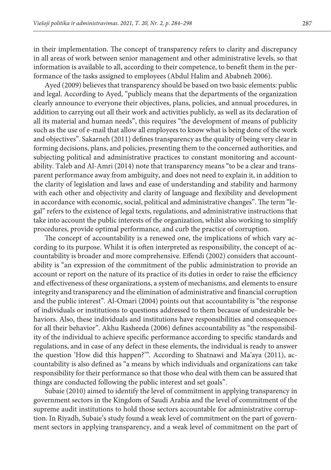in their implementation. The concept of transparency refers to clarity and discrepancy in all areas of work between senior management and other administrative levels, so that information is available to all, according to their competence, to benefit them in the performance of the tasks assigned to employees (Abdul Halim and Ababneh 2006).

Ayed (2009) believes that transparency should be based on two basic elements: public and legal. According to Ayed, "publicly means that the departments of the organization clearly announce to everyone their objectives, plans, policies, and annual procedures, in addition to carrying out all their work and activities publicly, as well as its declaration of all its material and human needs", this requires "the development of means of publicity such as the use of e-mail that allow all employees to know what is being done of the work and objectives". Sakarneh (2011) defines transparency as the quality of being very clear in forming decisions, plans, and policies, presenting them to the concerned authorities, and subjecting political and administrative practices to constant monitoring and accountability. Taleb and Al-Amri (2014) note that transparency means "to be a clear and transparent performance away from ambiguity, and does not need to explain it, in addition to the clarity of legislation and laws and ease of understanding and stability and harmony with each other and objectivity and clarity of language and flexibility and development in accordance with economic, social, political and administrative changes". The term "legal" refers to the existence of legal texts, regulations, and administrative instructions that take into account the public interests of the organization, whilst also working to simplify procedures, provide optimal performance, and curb the practice of corruption.

The concept of accountability is a renewed one, the implications of which vary according to its purpose. Whilst it is often interpreted as responsibility, the concept of accountability is broader and more comprehensive. Effendi (2002) considers that accountability is "an expression of the commitment of the public administration to provide an account or report on the nature of its practice of its duties in order to raise the efficiency and effectiveness of these organizations, a system of mechanisms, and elements to ensure integrity and transparency and the elimination of administrative and financial corruption and the public interest". Al-Omari (2004) points out that accountability is "the response of individuals or institutions to questions addressed to them because of undesirable behaviors. Also, these individuals and institutions have responsibilities and consequences for all their behavior". Akhu Rasheeda (2006) defines accountability as "the responsibility of the individual to achieve specific performance according to specific standards and regulations, and in case of any defect in these elements, the individual is ready to answer the question 'How did this happen?'". According to Shatnawi and Ma'aya (2011), accountability is also defined as "a means by which individuals and organizations can take responsibility for their performance so that those who deal with them can be assured that things are conducted following the public interest and set goals".

Subaie (2010) aimed to identify the level of commitment in applying transparency in government sectors in the Kingdom of Saudi Arabia and the level of commitment of the supreme audit institutions to hold those sectors accountable for administrative corruption. In Riyadh, Subaie's study found a weak level of commitment on the part of government sectors in applying transparency, and a weak level of commitment on the part of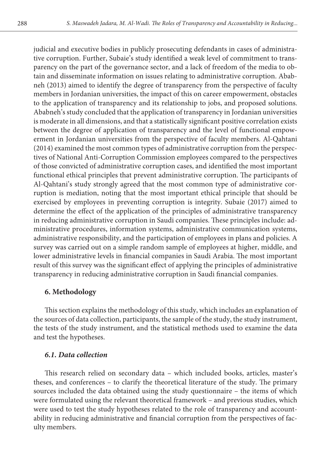judicial and executive bodies in publicly prosecuting defendants in cases of administrative corruption. Further, Subaie's study identified a weak level of commitment to transparency on the part of the governance sector, and a lack of freedom of the media to obtain and disseminate information on issues relating to administrative corruption. Ababneh (2013) aimed to identify the degree of transparency from the perspective of faculty members in Jordanian universities, the impact of this on career empowerment, obstacles to the application of transparency and its relationship to jobs, and proposed solutions. Ababneh's study concluded that the application of transparency in Jordanian universities is moderate in all dimensions, and that a statistically significant positive correlation exists between the degree of application of transparency and the level of functional empowerment in Jordanian universities from the perspective of faculty members. Al-Qahtani (2014) examined the most common types of administrative corruption from the perspectives of National Anti-Corruption Commission employees compared to the perspectives of those convicted of administrative corruption cases, and identified the most important functional ethical principles that prevent administrative corruption. The participants of Al-Qahtani's study strongly agreed that the most common type of administrative corruption is mediation, noting that the most important ethical principle that should be exercised by employees in preventing corruption is integrity. Subaie (2017) aimed to determine the effect of the application of the principles of administrative transparency in reducing administrative corruption in Saudi companies. These principles include: administrative procedures, information systems, administrative communication systems, administrative responsibility, and the participation of employees in plans and policies. A survey was carried out on a simple random sample of employees at higher, middle, and lower administrative levels in financial companies in Saudi Arabia. The most important result of this survey was the significant effect of applying the principles of administrative transparency in reducing administrative corruption in Saudi financial companies.

## **6. Methodology**

This section explains the methodology of this study, which includes an explanation of the sources of data collection, participants, the sample of the study, the study instrument, the tests of the study instrument, and the statistical methods used to examine the data and test the hypotheses.

## *6.1. Data collection*

This research relied on secondary data – which included books, articles, master's theses, and conferences – to clarify the theoretical literature of the study. The primary sources included the data obtained using the study questionnaire – the items of which were formulated using the relevant theoretical framework – and previous studies, which were used to test the study hypotheses related to the role of transparency and accountability in reducing administrative and financial corruption from the perspectives of faculty members.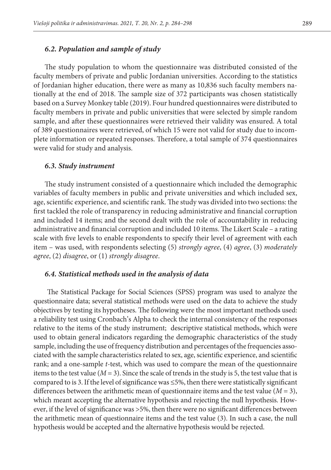### *6.2. Population and sample of study*

The study population to whom the questionnaire was distributed consisted of the faculty members of private and public Jordanian universities. According to the statistics of Jordanian higher education, there were as many as 10,836 such faculty members nationally at the end of 2018. The sample size of 372 participants was chosen statistically based on a Survey Monkey table (2019). Four hundred questionnaires were distributed to faculty members in private and public universities that were selected by simple random sample, and after these questionnaires were retrieved their validity was ensured. A total of 389 questionnaires were retrieved, of which 15 were not valid for study due to incomplete information or repeated responses. Therefore, a total sample of 374 questionnaires were valid for study and analysis.

#### *6.3. Study instrument*

The study instrument consisted of a questionnaire which included the demographic variables of faculty members in public and private universities and which included sex, age, scientific experience, and scientific rank. The study was divided into two sections: the first tackled the role of transparency in reducing administrative and financial corruption and included 14 items; and the second dealt with the role of accountability in reducing administrative and financial corruption and included 10 items. The Likert Scale – a rating scale with five levels to enable respondents to specify their level of agreement with each item – was used, with respondents selecting (5) *strongly agree*, (4) *agree*, (3) *moderately agree*, (2) *disagree*, or (1) *strongly disagree*.

#### *6.4. Statistical methods used in the analysis of data*

 The Statistical Package for Social Sciences (SPSS) program was used to analyze the questionnaire data; several statistical methods were used on the data to achieve the study objectives by testing its hypotheses. The following were the most important methods used: a reliability test using Cronbach's Alpha to check the internal consistency of the responses relative to the items of the study instrument; descriptive statistical methods, which were used to obtain general indicators regarding the demographic characteristics of the study sample, including the use of frequency distribution and percentages of the frequencies associated with the sample characteristics related to sex, age, scientific experience, and scientific rank; and a one-sample *t*-test, which was used to compare the mean of the questionnaire items to the test value  $(M = 3)$ . Since the scale of trends in the study is 5, the test value that is compared to is 3. If the level of significance was  $\leq$ 5%, then there were statistically significant differences between the arithmetic mean of questionnaire items and the test value ( $M = 3$ ), which meant accepting the alternative hypothesis and rejecting the null hypothesis. However, if the level of significance was >5%, then there were no significant differences between the arithmetic mean of questionnaire items and the test value (3). In such a case, the null hypothesis would be accepted and the alternative hypothesis would be rejected.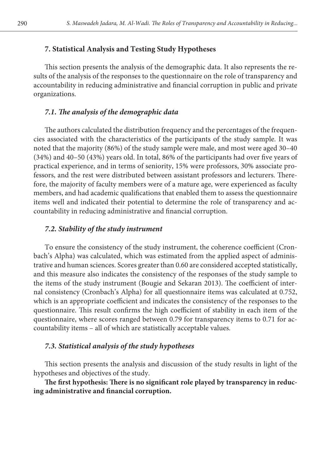## **7. Statistical Analysis and Testing Study Hypotheses**

This section presents the analysis of the demographic data. It also represents the results of the analysis of the responses to the questionnaire on the role of transparency and accountability in reducing administrative and financial corruption in public and private organizations.

## *7.1. The analysis of the demographic data*

The authors calculated the distribution frequency and the percentages of the frequencies associated with the characteristics of the participants of the study sample. It was noted that the majority (86%) of the study sample were male, and most were aged 30–40 (34%) and 40–50 (43%) years old. In total, 86% of the participants had over five years of practical experience, and in terms of seniority, 15% were professors, 30% associate professors, and the rest were distributed between assistant professors and lecturers. Therefore, the majority of faculty members were of a mature age, were experienced as faculty members, and had academic qualifications that enabled them to assess the questionnaire items well and indicated their potential to determine the role of transparency and accountability in reducing administrative and financial corruption.

## *7.2. Stability of the study instrument*

To ensure the consistency of the study instrument, the coherence coefficient (Cronbach's Alpha) was calculated, which was estimated from the applied aspect of administrative and human sciences. Scores greater than 0.60 are considered accepted statistically, and this measure also indicates the consistency of the responses of the study sample to the items of the study instrument (Bougie and Sekaran 2013). The coefficient of internal consistency (Cronbach's Alpha) for all questionnaire items was calculated at 0.752, which is an appropriate coefficient and indicates the consistency of the responses to the questionnaire. This result confirms the high coefficient of stability in each item of the questionnaire, where scores ranged between 0.79 for transparency items to 0.71 for accountability items – all of which are statistically acceptable values.

## *7.3. Statistical analysis of the study hypotheses*

This section presents the analysis and discussion of the study results in light of the hypotheses and objectives of the study.

**The first hypothesis: There is no significant role played by transparency in reducing administrative and financial corruption.**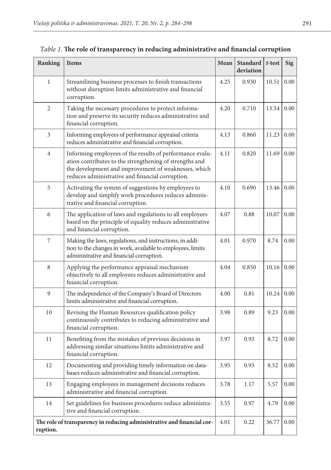| Ranking                                                                            | <b>Items</b>                                                                                                                                                                                                                    | Mean | Standard<br>deviation | $t$ -test | <b>Sig</b> |
|------------------------------------------------------------------------------------|---------------------------------------------------------------------------------------------------------------------------------------------------------------------------------------------------------------------------------|------|-----------------------|-----------|------------|
| 1                                                                                  | Streamlining business processes to finish transactions<br>without disruption limits administrative and financial<br>corruption.                                                                                                 | 4.25 | 0.930                 | 10.51     | 0.00       |
| $\overline{2}$                                                                     | Taking the necessary procedures to protect informa-<br>tion and preserve its security reduces administrative and<br>financial corruption.                                                                                       | 4.20 | 0.710                 | 13.54     | 0.00       |
| 3                                                                                  | Informing employees of performance appraisal criteria<br>reduces administrative and financial corruption.                                                                                                                       | 4.13 | 0.860                 | 11.23     | 0.00       |
| $\overline{4}$                                                                     | Informing employees of the results of performance evalu-<br>ation contributes to the strengthening of strengths and<br>the development and improvement of weaknesses, which<br>reduces administrative and financial corruption. | 4.11 | 0.820                 | 11.69     | 0.00       |
| 5                                                                                  | Activating the system of suggestions by employees to<br>develop and simplify work procedures reduces adminis-<br>trative and financial corruption.                                                                              | 4.10 | 0.690                 | 13.46     | 0.00       |
| 6                                                                                  | The application of laws and regulations to all employees<br>based on the principle of equality reduces administrative<br>and financial corruption.                                                                              | 4.07 | 0.88                  | 10.07     | 0.00       |
| 7                                                                                  | Making the laws, regulations, and instructions, in addi-<br>tion to the changes in work, available to employees, limits<br>administrative and financial corruption.                                                             | 4.01 | 0.970                 | 8.74      | 0.00       |
| 8                                                                                  | Applying the performance appraisal mechanism<br>objectively to all employees reduces administrative and<br>financial corruption.                                                                                                | 4.04 | 0.850                 | 10.16     | 0.00       |
| 9                                                                                  | The independence of the Company's Board of Directors<br>limits administrative and financial corruption.                                                                                                                         | 4.00 | 0.81                  | 10.24     | 0.00       |
| 10                                                                                 | Revising the Human Resources qualification policy<br>continuously contributes to reducing administrative and<br>financial corruption.                                                                                           | 3.98 | 0.89                  | 9.23      | 0.00       |
| 11                                                                                 | Benefiting from the mistakes of previous decisions in<br>addressing similar situations limits administrative and<br>financial corruption.                                                                                       | 3.97 | 0.93                  | 8.72      | 0.00       |
| 12                                                                                 | Documenting and providing timely information on data-<br>bases reduces administrative and financial corruption.                                                                                                                 | 3.95 | 0.93                  | 8.52      | 0.00       |
| 13                                                                                 | Engaging employees in management decisions reduces<br>administrative and financial corruption.                                                                                                                                  | 3.78 | 1.17                  | 5.57      | 0.00       |
| 14                                                                                 | Set guidelines for business procedures reduce administra-<br>tive and financial corruption.                                                                                                                                     | 3.55 | 0.97                  | 4.79      | 0.00       |
| The role of transparency in reducing administrative and financial cor-<br>ruption. |                                                                                                                                                                                                                                 | 4.01 | 0.22                  | 36.77     | 0.00       |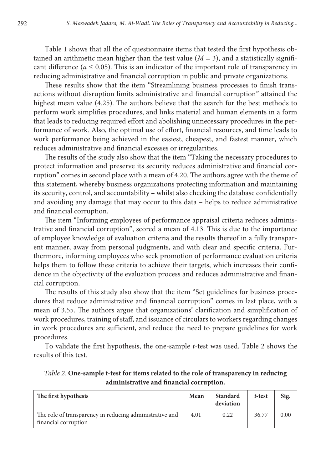Table 1 shows that all the of questionnaire items that tested the first hypothesis obtained an arithmetic mean higher than the test value  $(M = 3)$ , and a statistically significant difference ( $a \le 0.05$ ). This is an indicator of the important role of transparency in reducing administrative and financial corruption in public and private organizations.

These results show that the item "Streamlining business processes to finish transactions without disruption limits administrative and financial corruption" attained the highest mean value (4.25). The authors believe that the search for the best methods to perform work simplifies procedures, and links material and human elements in a form that leads to reducing required effort and abolishing unnecessary procedures in the performance of work. Also, the optimal use of effort, financial resources, and time leads to work performance being achieved in the easiest, cheapest, and fastest manner, which reduces administrative and financial excesses or irregularities.

The results of the study also show that the item "Taking the necessary procedures to protect information and preserve its security reduces administrative and financial corruption" comes in second place with a mean of 4.20. The authors agree with the theme of this statement, whereby business organizations protecting information and maintaining its security, control, and accountability – whilst also checking the database confidentially and avoiding any damage that may occur to this data – helps to reduce administrative and financial corruption.

The item "Informing employees of performance appraisal criteria reduces administrative and financial corruption", scored a mean of 4.13. This is due to the importance of employee knowledge of evaluation criteria and the results thereof in a fully transparent manner, away from personal judgments, and with clear and specific criteria. Furthermore, informing employees who seek promotion of performance evaluation criteria helps them to follow these criteria to achieve their targets, which increases their confidence in the objectivity of the evaluation process and reduces administrative and financial corruption.

The results of this study also show that the item "Set guidelines for business procedures that reduce administrative and financial corruption" comes in last place, with a mean of 3.55. The authors argue that organizations' clarification and simplification of work procedures, training of staff, and issuance of circulars to workers regarding changes in work procedures are sufficient, and reduce the need to prepare guidelines for work procedures.

To validate the first hypothesis, the one-sample *t*-test was used. Table 2 shows the results of this test.

| The first hypothesis                                                            | Mean | Standard<br>deviation | t-test | Sig. |
|---------------------------------------------------------------------------------|------|-----------------------|--------|------|
| The role of transparency in reducing administrative and<br>financial corruption | 4.01 | 0.22                  | 36.77  | 0.00 |

*Table 2.* **One-sample t-test for items related to the role of transparency in reducing administrative and financial corruption.**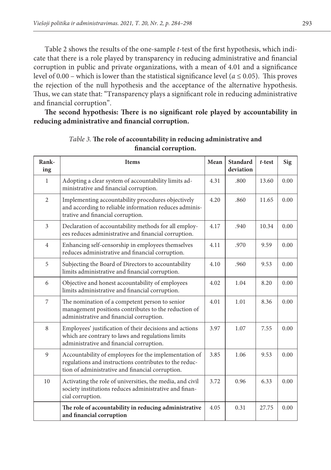Table 2 shows the results of the one-sample *t*-test of the first hypothesis, which indicate that there is a role played by transparency in reducing administrative and financial corruption in public and private organizations, with a mean of 4.01 and a significance level of 0.00 – which is lower than the statistical significance level ( $a \le 0.05$ ). This proves the rejection of the null hypothesis and the acceptance of the alternative hypothesis. Thus, we can state that: "Transparency plays a significant role in reducing administrative and financial corruption".

**The second hypothesis: There is no significant role played by accountability in reducing administrative and financial corruption.**

| Rank-<br>ing   | Items                                                                                                                                                               | Mean | <b>Standard</b><br>deviation | $t$ -test | Sig  |
|----------------|---------------------------------------------------------------------------------------------------------------------------------------------------------------------|------|------------------------------|-----------|------|
| 1              | Adopting a clear system of accountability limits ad-<br>ministrative and financial corruption.                                                                      | 4.31 | .800                         | 13.60     | 0.00 |
| $\overline{2}$ | Implementing accountability procedures objectively<br>and according to reliable information reduces adminis-<br>trative and financial corruption.                   | 4.20 | .860                         | 11.65     | 0.00 |
| 3              | Declaration of accountability methods for all employ-<br>ees reduces administrative and financial corruption.                                                       | 4.17 | .940                         | 10.34     | 0.00 |
| $\overline{4}$ | Enhancing self-censorship in employees themselves<br>reduces administrative and financial corruption.                                                               | 4.11 | .970                         | 9.59      | 0.00 |
| 5              | Subjecting the Board of Directors to accountability<br>limits administrative and financial corruption.                                                              | 4.10 | .960                         | 9.53      | 0.00 |
| 6              | Objective and honest accountability of employees<br>limits administrative and financial corruption.                                                                 | 4.02 | 1.04                         | 8.20      | 0.00 |
| $\overline{7}$ | The nomination of a competent person to senior<br>management positions contributes to the reduction of<br>administrative and financial corruption.                  | 4.01 | 1.01                         | 8.36      | 0.00 |
| 8              | Employees' justification of their decisions and actions<br>which are contrary to laws and regulations limits<br>administrative and financial corruption.            | 3.97 | 1.07                         | 7.55      | 0.00 |
| 9              | Accountability of employees for the implementation of<br>regulations and instructions contributes to the reduc-<br>tion of administrative and financial corruption. | 3.85 | 1.06                         | 9.53      | 0.00 |
| 10             | Activating the role of universities, the media, and civil<br>society institutions reduces administrative and finan-<br>cial corruption.                             | 3.72 | 0.96                         | 6.33      | 0.00 |
|                | The role of accountability in reducing administrative<br>and financial corruption                                                                                   | 4.05 | 0.31                         | 27.75     | 0.00 |

*Table 3.* **The role of accountability in reducing administrative and financial corruption.**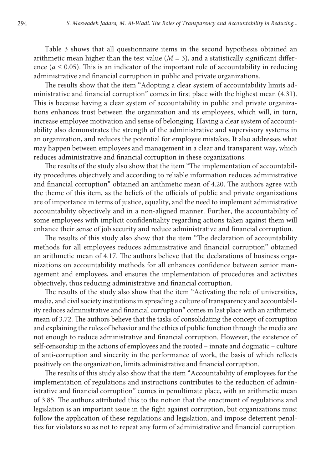Table 3 shows that all questionnaire items in the second hypothesis obtained an arithmetic mean higher than the test value  $(M = 3)$ , and a statistically significant difference ( $a \leq 0.05$ ). This is an indicator of the important role of accountability in reducing administrative and financial corruption in public and private organizations.

The results show that the item "Adopting a clear system of accountability limits administrative and financial corruption" comes in first place with the highest mean (4.31). This is because having a clear system of accountability in public and private organizations enhances trust between the organization and its employees, which will, in turn, increase employee motivation and sense of belonging. Having a clear system of accountability also demonstrates the strength of the administrative and supervisory systems in an organization, and reduces the potential for employee mistakes. It also addresses what may happen between employees and management in a clear and transparent way, which reduces administrative and financial corruption in these organizations.

The results of the study also show that the item "The implementation of accountability procedures objectively and according to reliable information reduces administrative and financial corruption" obtained an arithmetic mean of 4.20. The authors agree with the theme of this item, as the beliefs of the officials of public and private organizations are of importance in terms of justice, equality, and the need to implement administrative accountability objectively and in a non-aligned manner. Further, the accountability of some employees with implicit confidentiality regarding actions taken against them will enhance their sense of job security and reduce administrative and financial corruption.

The results of this study also show that the item "The declaration of accountability methods for all employees reduces administrative and financial corruption" obtained an arithmetic mean of 4.17. The authors believe that the declarations of business organizations on accountability methods for all enhances confidence between senior management and employees, and ensures the implementation of procedures and activities objectively, thus reducing administrative and financial corruption.

The results of the study also show that the item "Activating the role of universities, media, and civil society institutions in spreading a culture of transparency and accountability reduces administrative and financial corruption" comes in last place with an arithmetic mean of 3.72. The authors believe that the tasks of consolidating the concept of corruption and explaining the rules of behavior and the ethics of public function through the media are not enough to reduce administrative and financial corruption. However, the existence of self-censorship in the actions of employees and the rooted – innate and dogmatic – culture of anti-corruption and sincerity in the performance of work, the basis of which reflects positively on the organization, limits administrative and financial corruption.

The results of this study also show that the item "Accountability of employees for the implementation of regulations and instructions contributes to the reduction of administrative and financial corruption" comes in penultimate place, with an arithmetic mean of 3.85. The authors attributed this to the notion that the enactment of regulations and legislation is an important issue in the fight against corruption, but organizations must follow the application of these regulations and legislation, and impose deterrent penalties for violators so as not to repeat any form of administrative and financial corruption.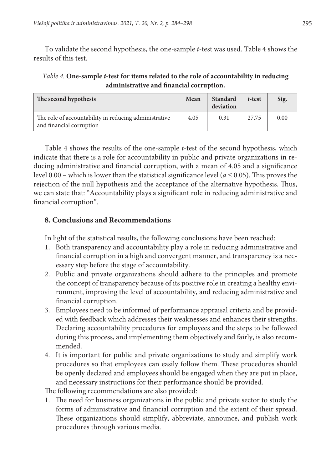To validate the second hypothesis, the one-sample *t*-test was used. Table 4 shows the results of this test.

*Table 4.* **One-sample** *t***-test for items related to the role of accountability in reducing administrative and financial corruption.**

| The second hypothesis                                                             | Mean | Standard<br>deviation | t-test | Sig. |
|-----------------------------------------------------------------------------------|------|-----------------------|--------|------|
| The role of accountability in reducing administrative<br>and financial corruption | 4.05 | 0.31                  | 27.75  | 0.00 |

Table 4 shows the results of the one-sample *t*-test of the second hypothesis, which indicate that there is a role for accountability in public and private organizations in reducing administrative and financial corruption, with a mean of 4.05 and a significance level 0.00 – which is lower than the statistical significance level ( $a \le 0.05$ ). This proves the rejection of the null hypothesis and the acceptance of the alternative hypothesis. Thus, we can state that: "Accountability plays a significant role in reducing administrative and financial corruption".

## **8. Conclusions and Recommendations**

In light of the statistical results, the following conclusions have been reached:

- 1. Both transparency and accountability play a role in reducing administrative and financial corruption in a high and convergent manner, and transparency is a necessary step before the stage of accountability.
- 2. Public and private organizations should adhere to the principles and promote the concept of transparency because of its positive role in creating a healthy environment, improving the level of accountability, and reducing administrative and financial corruption.
- 3. Employees need to be informed of performance appraisal criteria and be provided with feedback which addresses their weaknesses and enhances their strengths. Declaring accountability procedures for employees and the steps to be followed during this process, and implementing them objectively and fairly, is also recommended.
- 4. It is important for public and private organizations to study and simplify work procedures so that employees can easily follow them. These procedures should be openly declared and employees should be engaged when they are put in place, and necessary instructions for their performance should be provided.

The following recommendations are also provided:

1. The need for business organizations in the public and private sector to study the forms of administrative and financial corruption and the extent of their spread. These organizations should simplify, abbreviate, announce, and publish work procedures through various media.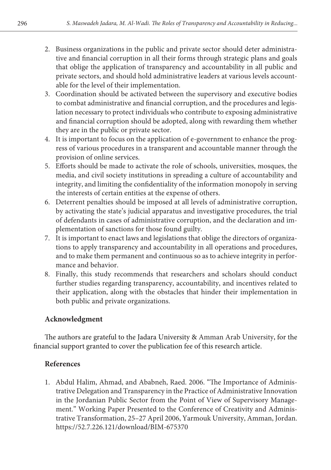- 2. Business organizations in the public and private sector should deter administrative and financial corruption in all their forms through strategic plans and goals that oblige the application of transparency and accountability in all public and private sectors, and should hold administrative leaders at various levels accountable for the level of their implementation.
- 3. Coordination should be activated between the supervisory and executive bodies to combat administrative and financial corruption, and the procedures and legislation necessary to protect individuals who contribute to exposing administrative and financial corruption should be adopted, along with rewarding them whether they are in the public or private sector.
- 4. It is important to focus on the application of e-government to enhance the progress of various procedures in a transparent and accountable manner through the provision of online services.
- 5. Efforts should be made to activate the role of schools, universities, mosques, the media, and civil society institutions in spreading a culture of accountability and integrity, and limiting the confidentiality of the information monopoly in serving the interests of certain entities at the expense of others.
- 6. Deterrent penalties should be imposed at all levels of administrative corruption, by activating the state's judicial apparatus and investigative procedures, the trial of defendants in cases of administrative corruption, and the declaration and implementation of sanctions for those found guilty.
- 7. It is important to enact laws and legislations that oblige the directors of organizations to apply transparency and accountability in all operations and procedures, and to make them permanent and continuous so as to achieve integrity in performance and behavior.
- 8. Finally, this study recommends that researchers and scholars should conduct further studies regarding transparency, accountability, and incentives related to their application, along with the obstacles that hinder their implementation in both public and private organizations.

## **Acknowledgment**

The authors are grateful to the Jadara University & Amman Arab University, for the financial support granted to cover the publication fee of this research article.

## **References**

1. Abdul Halim, Ahmad, and Ababneh, Raed. 2006. "The Importance of Administrative Delegation and Transparency in the Practice of Administrative Innovation in the Jordanian Public Sector from the Point of View of Supervisory Management." Working Paper Presented to the Conference of Creativity and Administrative Transformation, 25–27 April 2006, Yarmouk University, Amman, Jordan. https://52.7.226.121/download/BIM-675370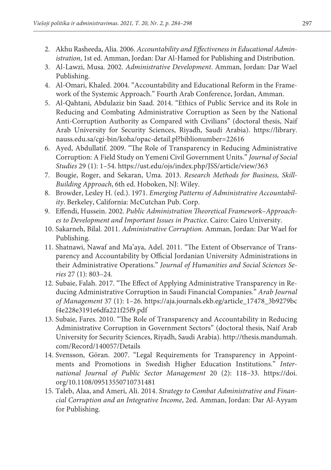- 2. Akhu Rasheeda, Alia. 2006. *Accountability and Effectiveness in Educational Administration*, 1st ed. Amman, Jordan: Dar Al-Hamed for Publishing and Distribution.
- 3. Al-Lawzi, Musa. 2002. *Administrative Development*. Amman, Jordan: Dar Wael Publishing.
- 4. Al-Omari, Khaled. 2004. "Accountability and Educational Reform in the Framework of the Systemic Approach." Fourth Arab Conference, Jordan, Amman.
- 5. Al-Qahtani, Abdulaziz bin Saad. 2014. "Ethics of Public Service and its Role in Reducing and Combating Administrative Corruption as Seen by the National Anti-Corruption Authority as Compared with Civilians" (doctoral thesis, Naif Arab University for Security Sciences, Riyadh, Saudi Arabia). [https://library.](https://library.nauss.edu.sa/cgi-bin/koha/opac-detail.pl?biblionumber=22616) [nauss.edu.sa/cgi-bin/koha/opac-detail.pl?biblionumber=22616](https://library.nauss.edu.sa/cgi-bin/koha/opac-detail.pl?biblionumber=22616)
- 6. Ayed, Abdullatif. 2009. "The Role of Transparency in Reducing Administrative Corruption: A Field Study on Yemeni Civil Government Units." *Journal of Social Studies* 29 (1): 1–54. https://ust.edu/ojs/index.php/JSS/article/view/363
- 7. Bougie, Roger, and Sekaran, Uma. 2013. *Research Methods for Business, Skill-Building Approach*, 6th ed. Hoboken, NJ: Wiley.
- 8. Browder, Lesley H. (ed.). 1971. *Emerging Patterns of Administrative Accountability*. Berkeley, California: McCutchan Pub. Corp.
- 9. Effendi, Hussein. 2002. *Public Administration Theoretical Framework–Approaches to Development and Important Issues in Practice*. Cairo: Cairo University.
- 10. Sakarneh, Bilal. 2011. *Administrative Corruption*. Amman, Jordan: Dar Wael for Publishing.
- 11. Shatnawi, Nawaf and Ma'aya, Adel. 2011. "The Extent of Observance of Transparency and Accountability by Official Jordanian University Administrations in their Administrative Operations." *Journal of Humanities and Social Sciences Series* 27 (1): 803–24.
- 12. Subaie, Falah. 2017. "The Effect of Applying Administrative Transparency in Reducing Administrative Corruption in Saudi Financial Companies." *Arab Journal of Management* 37 (1): 1–26. [https://aja.journals.ekb.eg/article\\_17478\\_3b9279bc](https://aja.journals.ekb.eg/article_17478_3b9279bcf4e228e3191e6dfa221f25f9.pdf) [f4e228e3191e6dfa221f25f9.pdf](https://aja.journals.ekb.eg/article_17478_3b9279bcf4e228e3191e6dfa221f25f9.pdf)
- 13. Subaie, Fares. 2010. "The Role of Transparency and Accountability in Reducing Administrative Corruption in Government Sectors" (doctoral thesis, Naif Arab University for Security Sciences, Riyadh, Saudi Arabia). [http://thesis.mandumah.](http://thesis.mandumah.com/Record/140057/Details) [com/Record/140057/Details](http://thesis.mandumah.com/Record/140057/Details)
- 14. Svensson, Göran. 2007. "Legal Requirements for Transparency in Appointments and Promotions in Swedish Higher Education Institutions." *International Journal of Public Sector Management* 20 (2): 118–33. [https://doi.](https://doi.org/10.1108/09513550710731481) [org/10.1108/09513550710731481](https://doi.org/10.1108/09513550710731481)
- 15. Taleb, Alaa, and Ameri, Ali. 2014. *Strategy to Combat Administrative and Financial Corruption and an Integrative Income*, 2ed. Amman, Jordan: Dar Al-Ayyam for Publishing.